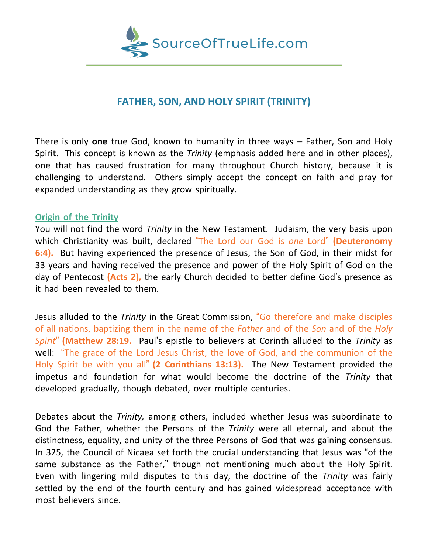

# **FATHER, SON, AND HOLY SPIRIT (TRINITY)**

There is only **one** true God, known to humanity in three ways – Father, Son and Holy Spirit. This concept is known as the *Trinity* (emphasis added here and in other places), one that has caused frustration for many throughout Church history, because it is challenging to understand. Others simply accept the concept on faith and pray for expanded understanding as they grow spiritually.

### **Origin of the Trinity**

You will not find the word *Trinity* in the New Testament. Judaism, the very basis upon which Christianity was built, declared "The Lord our God is *one* Lord" **(Deuteronomy 6:4).** But having experienced the presence of Jesus, the Son of God, in their midst for 33 years and having received the presence and power of the Holy Spirit of God on the day of Pentecost **(Acts 2),** the early Church decided to better define God's presence as it had been revealed to them.

Jesus alluded to the *Trinity* in the Great Commission, "Go therefore and make disciples of all nations, baptizing them in the name of the *Father* and of the *Son* and of the *Holy Spirit*" **(Matthew 28:19.** Paul's epistle to believers at Corinth alluded to the *Trinity* as well: "The grace of the Lord Jesus Christ, the love of God, and the communion of the Holy Spirit be with you all" **(2 Corinthians 13:13).** The New Testament provided the impetus and foundation for what would become the doctrine of the *Trinity* that developed gradually, though debated, over multiple centuries.

Debates about the *Trinity,* among others, included whether Jesus was subordinate to God the Father, whether the Persons of the *Trinity* were all eternal, and about the distinctness, equality, and unity of the three Persons of God that was gaining consensus. In 325, the Council of Nicaea set forth the crucial understanding that Jesus was "of the same substance as the Father," though not mentioning much about the Holy Spirit. Even with lingering mild disputes to this day, the doctrine of the *Trinity* was fairly settled by the end of the fourth century and has gained widespread acceptance with most believers since.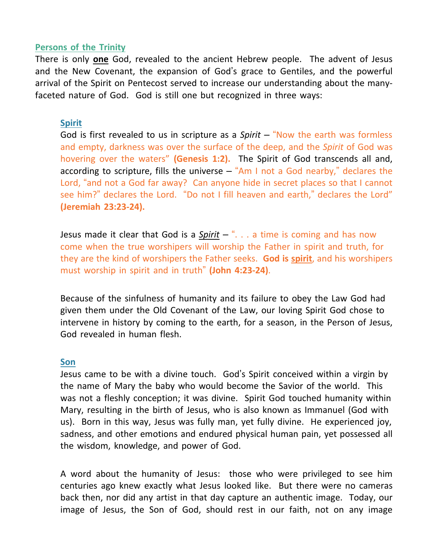## **Persons of the Trinity**

There is only **one** God, revealed to the ancient Hebrew people. The advent of Jesus and the New Covenant, the expansion of God's grace to Gentiles, and the powerful arrival of the Spirit on Pentecost served to increase our understanding about the manyfaceted nature of God. God is still one but recognized in three ways:

# **Spirit**

God is first revealed to us in scripture as a *Spirit* – "Now the earth was formless and empty, darkness was over the surface of the deep, and the *Spirit* of God was hovering over the waters" **(Genesis 1:2).** The Spirit of God transcends all and, according to scripture, fills the universe  $-$  "Am I not a God nearby," declares the Lord, "and not a God far away? Can anyone hide in secret places so that I cannot see him?" declares the Lord. "Do not I fill heaven and earth," declares the Lord" **(Jeremiah 23:23-24).**

Jesus made it clear that God is a *Spirit* – ". . . a time is coming and has now come when the true worshipers will worship the Father in spirit and truth, for they are the kind of worshipers the Father seeks. **God is spirit**, and his worshipers must worship in spirit and in truth" **(John 4:23-24)**.

Because of the sinfulness of humanity and its failure to obey the Law God had given them under the Old Covenant of the Law, our loving Spirit God chose to intervene in history by coming to the earth, for a season, in the Person of Jesus, God revealed in human flesh.

## **Son**

Jesus came to be with a divine touch. God's Spirit conceived within a virgin by the name of Mary the baby who would become the Savior of the world. This was not a fleshly conception; it was divine. Spirit God touched humanity within Mary, resulting in the birth of Jesus, who is also known as Immanuel (God with us). Born in this way, Jesus was fully man, yet fully divine. He experienced joy, sadness, and other emotions and endured physical human pain, yet possessed all the wisdom, knowledge, and power of God.

A word about the humanity of Jesus: those who were privileged to see him centuries ago knew exactly what Jesus looked like. But there were no cameras back then, nor did any artist in that day capture an authentic image. Today, our image of Jesus, the Son of God, should rest in our faith, not on any image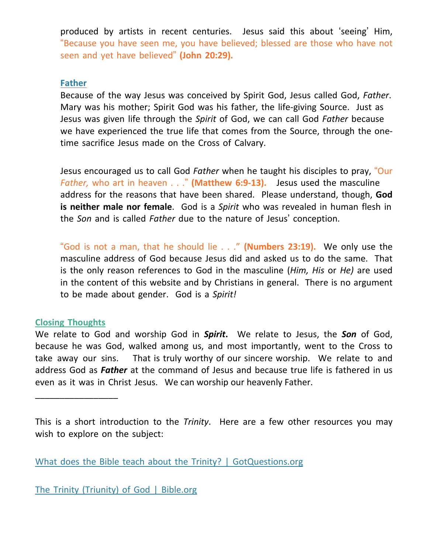produced by artists in recent centuries. Jesus said this about 'seeing' Him, "Because you have seen me, you have believed; blessed are those who have not seen and yet have believed" **(John 20:29).**

### **Father**

Because of the way Jesus was conceived by Spirit God, Jesus called God, *Father*. Mary was his mother; Spirit God was his father, the life-giving Source. Just as Jesus was given life through the *Spirit* of God, we can call God *Father* because we have experienced the true life that comes from the Source, through the onetime sacrifice Jesus made on the Cross of Calvary.

Jesus encouraged us to call God *Father* when he taught his disciples to pray, "Our *Father,* who art in heaven . . ." **(Matthew 6:9-13).** Jesus used the masculine address for the reasons that have been shared. Please understand, though, **God is neither male nor female**. God is a *Spirit* who was revealed in human flesh in the *Son* and is called *Father* due to the nature of Jesus' conception.

"God is not a man, that he should lie . . ." **(Numbers 23:19).** We only use the masculine address of God because Jesus did and asked us to do the same. That is the only reason references to God in the masculine (*Him, His* or *He)* are used in the content of this website and by Christians in general. There is no argument to be made about gender. God is a *Spirit!*

## **Closing Thoughts**

\_\_\_\_\_\_\_\_\_\_\_\_\_\_\_\_\_

We relate to God and worship God in *Spirit***.** We relate to Jesus, the *Son* of God, because he was God, walked among us, and most importantly, went to the Cross to take away our sins. That is truly worthy of our sincere worship. We relate to and address God as *Father* at the command of Jesus and because true life is fathered in us even as it was in Christ Jesus. We can worship our heavenly Father.

This is a short introduction to the *Trinity*. Here are a few other resources you may wish to explore on the subject:

What does the Bible teach about the Trinity? | [GotQuestions.org](https://www.gotquestions.org/Trinity-Bible.html)

The Trinity [\(Triunity\)](https://bible.org/article/trinity-triunity-god) of God | Bible.org